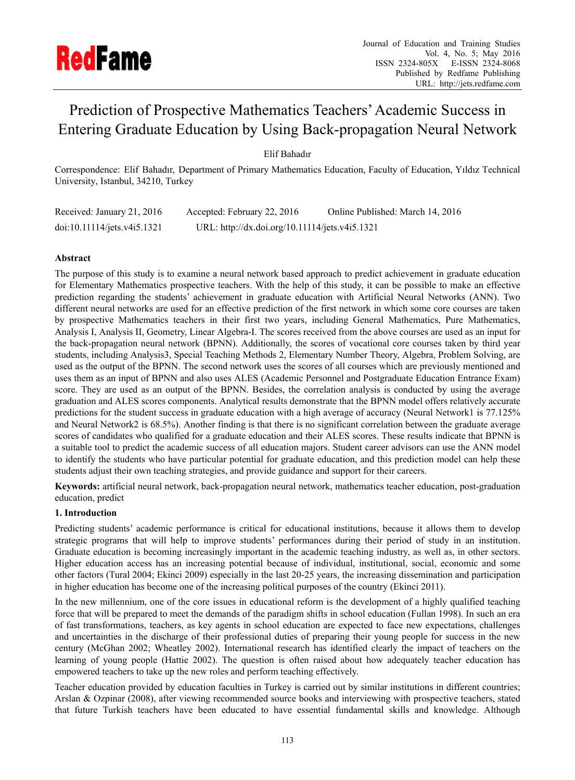

# Prediction of Prospective Mathematics Teachers' Academic Success in Entering Graduate Education by Using Back-propagation Neural Network

Elif Bahadır

Correspondence: Elif Bahadır, Department of Primary Mathematics Education, Faculty of Education, Yıldız Technical University, Istanbul, 34210, Turkey

| Received: January 21, 2016  | Accepted: February 22, 2016                    | Online Published: March 14, 2016 |
|-----------------------------|------------------------------------------------|----------------------------------|
| doi:10.11114/jets.v4i5.1321 | URL: http://dx.doi.org/10.11114/jets.v4i5.1321 |                                  |

# **Abstract**

The purpose of this study is to examine a neural network based approach to predict achievement in graduate education for Elementary Mathematics prospective teachers. With the help of this study, it can be possible to make an effective prediction regarding the students' achievement in graduate education with Artificial Neural Networks (ANN). Two different neural networks are used for an effective prediction of the first network in which some core courses are taken by prospective Mathematics teachers in their first two years, including General Mathematics, Pure Mathematics, Analysis I, Analysis II, Geometry, Linear Algebra-I. The scores received from the above courses are used as an input for the back-propagation neural network (BPNN). Additionally, the scores of vocational core courses taken by third year students, including Analysis3, Special Teaching Methods 2, Elementary Number Theory, Algebra, Problem Solving, are used as the output of the BPNN. The second network uses the scores of all courses which are previously mentioned and uses them as an input of BPNN and also uses ALES (Academic Personnel and Postgraduate Education Entrance Exam) score. They are used as an output of the BPNN. Besides, the correlation analysis is conducted by using the average graduation and ALES scores components. Analytical results demonstrate that the BPNN model offers relatively accurate predictions for the student success in graduate education with a high average of accuracy (Neural Network1 is 77.125% and Neural Network2 is 68.5%). Another finding is that there is no significant correlation between the graduate average scores of candidates who qualified for a graduate education and their ALES scores. These results indicate that BPNN is a suitable tool to predict the academic success of all education majors. Student career advisors can use the ANN model to identify the students who have particular potential for graduate education, and this prediction model can help these students adjust their own teaching strategies, and provide guidance and support for their careers.

**Keywords:** artificial neural network, back-propagation neural network, mathematics teacher education, post-graduation education, predict

# **1. Introduction**

Predicting students' academic performance is critical for educational institutions, because it allows them to develop strategic programs that will help to improve students' performances during their period of study in an institution. Graduate education is becoming increasingly important in the academic teaching industry, as well as, in other sectors. Higher education access has an increasing potential because of individual, institutional, social, economic and some other factors (Tural 2004; Ekinci 2009) especially in the last 20-25 years, the increasing dissemination and participation in higher education has become one of the increasing political purposes of the country (Ekinci 2011).

In the new millennium, one of the core issues in educational reform is the development of a highly qualified teaching force that will be prepared to meet the demands of the paradigm shifts in school education (Fullan 1998). In such an era of fast transformations, teachers, as key agents in school education are expected to face new expectations, challenges and uncertainties in the discharge of their professional duties of preparing their young people for success in the new century (McGhan 2002; Wheatley 2002). International research has identified clearly the impact of teachers on the learning of young people (Hattie 2002). The question is often raised about how adequately teacher education has empowered teachers to take up the new roles and perform teaching effectively.

Teacher education provided by education faculties in Turkey is carried out by similar institutions in different countries; Arslan & Ozpinar (2008), after viewing recommended source books and interviewing with prospective teachers, stated that future Turkish teachers have been educated to have essential fundamental skills and knowledge. Although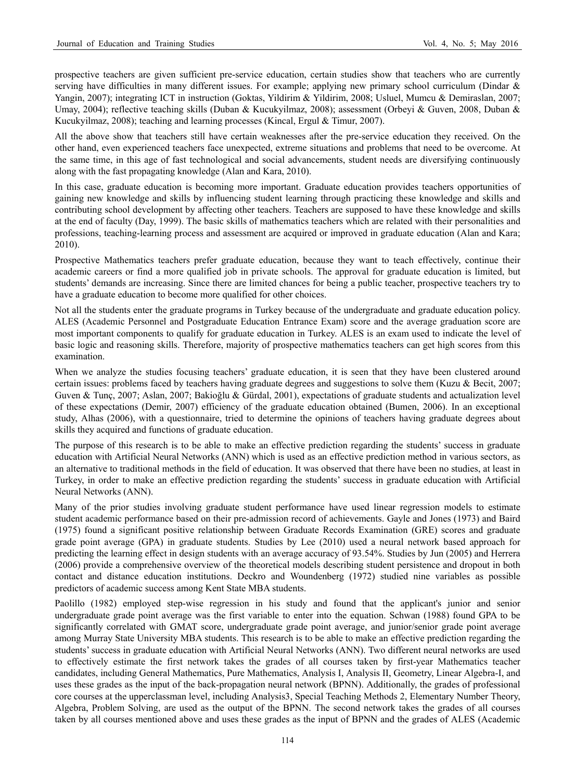prospective teachers are given sufficient pre-service education, certain studies show that teachers who are currently serving have difficulties in many different issues. For example; applying new primary school curriculum (Dindar & Yangin, 2007); integrating ICT in instruction (Goktas, Yildirim & Yildirim, 2008; Usluel, Mumcu & Demiraslan, 2007; Umay, 2004); reflective teaching skills (Duban & Kucukyilmaz, 2008); assessment (Orbeyi & Guven, 2008, Duban & Kucukyilmaz, 2008); teaching and learning processes (Kincal, Ergul & Timur, 2007).

All the above show that teachers still have certain weaknesses after the pre-service education they received. On the other hand, even experienced teachers face unexpected, extreme situations and problems that need to be overcome. At the same time, in this age of fast technological and social advancements, student needs are diversifying continuously along with the fast propagating knowledge (Alan and Kara, 2010).

In this case, graduate education is becoming more important. Graduate education provides teachers opportunities of gaining new knowledge and skills by influencing student learning through practicing these knowledge and skills and contributing school development by affecting other teachers. Teachers are supposed to have these knowledge and skills at the end of faculty (Day, 1999). The basic skills of mathematics teachers which are related with their personalities and professions, teaching-learning process and assessment are acquired or improved in graduate education (Alan and Kara; 2010).

Prospective Mathematics teachers prefer graduate education, because they want to teach effectively, continue their academic careers or find a more qualified job in private schools. The approval for graduate education is limited, but students' demands are increasing. Since there are limited chances for being a public teacher, prospective teachers try to have a graduate education to become more qualified for other choices.

Not all the students enter the graduate programs in Turkey because of the undergraduate and graduate education policy. ALES (Academic Personnel and Postgraduate Education Entrance Exam) score and the average graduation score are most important components to qualify for graduate education in Turkey. ALES is an exam used to indicate the level of basic logic and reasoning skills. Therefore, majority of prospective mathematics teachers can get high scores from this examination.

When we analyze the studies focusing teachers' graduate education, it is seen that they have been clustered around certain issues: problems faced by teachers having graduate degrees and suggestions to solve them (Kuzu & Becit, 2007; Guven & Tunç, 2007; Aslan, 2007; Bakioğlu & Gürdal, 2001), expectations of graduate students and actualization level of these expectations (Demir, 2007) efficiency of the graduate education obtained (Bumen, 2006). In an exceptional study, Alhas (2006), with a questionnaire, tried to determine the opinions of teachers having graduate degrees about skills they acquired and functions of graduate education.

The purpose of this research is to be able to make an effective prediction regarding the students' success in graduate education with Artificial Neural Networks (ANN) which is used as an effective prediction method in various sectors, as an alternative to traditional methods in the field of education. It was observed that there have been no studies, at least in Turkey, in order to make an effective prediction regarding the students' success in graduate education with Artificial Neural Networks (ANN).

Many of the prior studies involving graduate student performance have used linear regression models to estimate student academic performance based on their pre-admission record of achievements. Gayle and Jones (1973) and Baird (1975) found a significant positive relationship between Graduate Records Examination (GRE) scores and graduate grade point average (GPA) in graduate students. Studies by Lee (2010) used a neural network based approach for predicting the learning effect in design students with an average accuracy of 93.54%. Studies by Jun (2005) and Herrera (2006) provide a comprehensive overview of the theoretical models describing student persistence and dropout in both contact and distance education institutions. Deckro and Woundenberg (1972) studied nine variables as possible predictors of academic success among Kent State MBA students.

Paolillo (1982) employed step-wise regression in his study and found that the applicant's junior and senior undergraduate grade point average was the first variable to enter into the equation. Schwan (1988) found GPA to be significantly correlated with GMAT score, undergraduate grade point average, and junior/senior grade point average among Murray State University MBA students. This research is to be able to make an effective prediction regarding the students' success in graduate education with Artificial Neural Networks (ANN). Two different neural networks are used to effectively estimate the first network takes the grades of all courses taken by first-year Mathematics teacher candidates, including General Mathematics, Pure Mathematics, Analysis I, Analysis II, Geometry, Linear Algebra-I, and uses these grades as the input of the back-propagation neural network (BPNN). Additionally, the grades of professional core courses at the upperclassman level, including Analysis3, Special Teaching Methods 2, Elementary Number Theory, Algebra, Problem Solving, are used as the output of the BPNN. The second network takes the grades of all courses taken by all courses mentioned above and uses these grades as the input of BPNN and the grades of ALES (Academic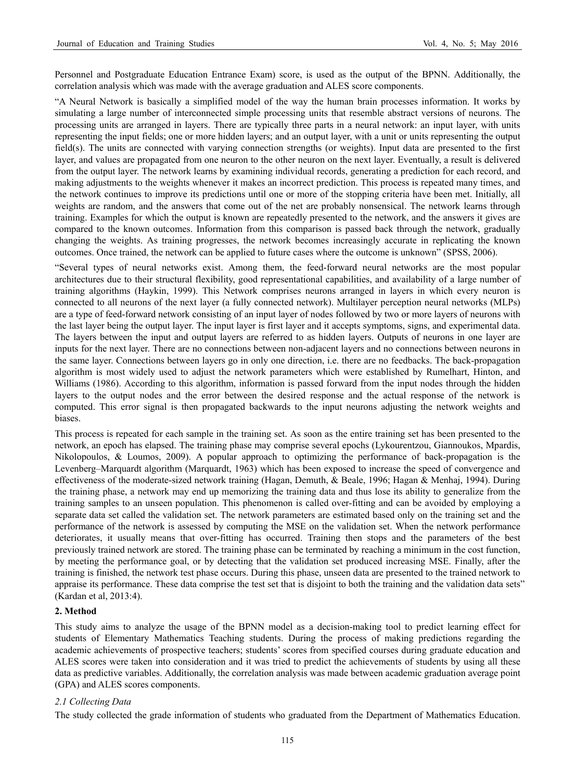Personnel and Postgraduate Education Entrance Exam) score, is used as the output of the BPNN. Additionally, the correlation analysis which was made with the average graduation and ALES score components.

"A Neural Network is basically a simplified model of the way the human brain processes information. It works by simulating a large number of interconnected simple processing units that resemble abstract versions of neurons. The processing units are arranged in layers. There are typically three parts in a neural network: an input layer, with units representing the input fields; one or more hidden layers; and an output layer, with a unit or units representing the output field(s). The units are connected with varying connection strengths (or weights). Input data are presented to the first layer, and values are propagated from one neuron to the other neuron on the next layer. Eventually, a result is delivered from the output layer. The network learns by examining individual records, generating a prediction for each record, and making adjustments to the weights whenever it makes an incorrect prediction. This process is repeated many times, and the network continues to improve its predictions until one or more of the stopping criteria have been met. Initially, all weights are random, and the answers that come out of the net are probably nonsensical. The network learns through training. Examples for which the output is known are repeatedly presented to the network, and the answers it gives are compared to the known outcomes. Information from this comparison is passed back through the network, gradually changing the weights. As training progresses, the network becomes increasingly accurate in replicating the known outcomes. Once trained, the network can be applied to future cases where the outcome is unknown" (SPSS, 2006).

"Several types of neural networks exist. Among them, the feed-forward neural networks are the most popular architectures due to their structural flexibility, good representational capabilities, and availability of a large number of training algorithms (Haykin, 1999). This Network comprises neurons arranged in layers in which every neuron is connected to all neurons of the next layer (a fully connected network). Multilayer perception neural networks (MLPs) are a type of feed-forward network consisting of an input layer of nodes followed by two or more layers of neurons with the last layer being the output layer. The input layer is first layer and it accepts symptoms, signs, and experimental data. The layers between the input and output layers are referred to as hidden layers. Outputs of neurons in one layer are inputs for the next layer. There are no connections between non-adjacent layers and no connections between neurons in the same layer. Connections between layers go in only one direction, i.e. there are no feedbacks. The back-propagation algorithm is most widely used to adjust the network parameters which were established by Rumelhart, Hinton, and Williams (1986). According to this algorithm, information is passed forward from the input nodes through the hidden layers to the output nodes and the error between the desired response and the actual response of the network is computed. This error signal is then propagated backwards to the input neurons adjusting the network weights and biases.

This process is repeated for each sample in the training set. As soon as the entire training set has been presented to the network, an epoch has elapsed. The training phase may comprise several epochs (Lykourentzou, Giannoukos, Mpardis, Nikolopoulos, & Loumos, 2009). A popular approach to optimizing the performance of back-propagation is the Levenberg–Marquardt algorithm (Marquardt, 1963) which has been exposed to increase the speed of convergence and effectiveness of the moderate-sized network training (Hagan, Demuth, & Beale, 1996; Hagan & Menhaj, 1994). During the training phase, a network may end up memorizing the training data and thus lose its ability to generalize from the training samples to an unseen population. This phenomenon is called over-fitting and can be avoided by employing a separate data set called the validation set. The network parameters are estimated based only on the training set and the performance of the network is assessed by computing the MSE on the validation set. When the network performance deteriorates, it usually means that over-fitting has occurred. Training then stops and the parameters of the best previously trained network are stored. The training phase can be terminated by reaching a minimum in the cost function, by meeting the performance goal, or by detecting that the validation set produced increasing MSE. Finally, after the training is finished, the network test phase occurs. During this phase, unseen data are presented to the trained network to appraise its performance. These data comprise the test set that is disjoint to both the training and the validation data sets" (Kardan et al, 2013:4).

# **2. Method**

This study aims to analyze the usage of the BPNN model as a decision-making tool to predict learning effect for students of Elementary Mathematics Teaching students. During the process of making predictions regarding the academic achievements of prospective teachers; students' scores from specified courses during graduate education and ALES scores were taken into consideration and it was tried to predict the achievements of students by using all these data as predictive variables. Additionally, the correlation analysis was made between academic graduation average point (GPA) and ALES scores components.

# *2.1 Collecting Data*

The study collected the grade information of students who graduated from the Department of Mathematics Education.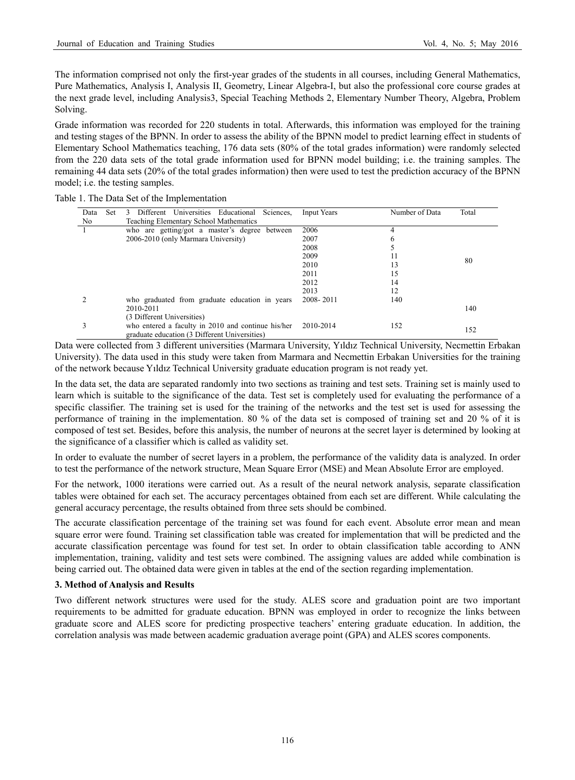The information comprised not only the first-year grades of the students in all courses, including General Mathematics, Pure Mathematics, Analysis I, Analysis II, Geometry, Linear Algebra-I, but also the professional core course grades at the next grade level, including Analysis3, Special Teaching Methods 2, Elementary Number Theory, Algebra, Problem Solving.

Grade information was recorded for 220 students in total. Afterwards, this information was employed for the training and testing stages of the BPNN. In order to assess the ability of the BPNN model to predict learning effect in students of Elementary School Mathematics teaching, 176 data sets (80% of the total grades information) were randomly selected from the 220 data sets of the total grade information used for BPNN model building; i.e. the training samples. The remaining 44 data sets (20% of the total grades information) then were used to test the prediction accuracy of the BPNN model; i.e. the testing samples.

Table 1. The Data Set of the Implementation

| Data | Set | Different Universities Educational<br>Sciences.                                                     | Input Years | Number of Data | Total |
|------|-----|-----------------------------------------------------------------------------------------------------|-------------|----------------|-------|
| No.  |     | <b>Teaching Elementary School Mathematics</b>                                                       |             |                |       |
|      |     | who are getting/got a master's degree between                                                       | 2006        | 4              |       |
|      |     | 2006-2010 (only Marmara University)                                                                 | 2007        |                |       |
|      |     |                                                                                                     | 2008        |                |       |
|      |     |                                                                                                     | 2009        | 11             |       |
|      |     |                                                                                                     | 2010        | 13             | 80    |
|      |     |                                                                                                     | 2011        | 15             |       |
|      |     |                                                                                                     | 2012        | 14             |       |
|      |     |                                                                                                     | 2013        | 12             |       |
|      |     | who graduated from graduate education in years                                                      | 2008-2011   | 140            |       |
|      |     | 2010-2011                                                                                           |             |                | 140   |
|      |     | (3 Different Universities)                                                                          |             |                |       |
|      |     | who entered a faculty in 2010 and continue his/her<br>graduate education (3 Different Universities) | 2010-2014   | 152            | 152   |

Data were collected from 3 different universities (Marmara University, Yıldız Technical University, Necmettin Erbakan University). The data used in this study were taken from Marmara and Necmettin Erbakan Universities for the training of the network because Yıldız Technical University graduate education program is not ready yet.

In the data set, the data are separated randomly into two sections as training and test sets. Training set is mainly used to learn which is suitable to the significance of the data. Test set is completely used for evaluating the performance of a specific classifier. The training set is used for the training of the networks and the test set is used for assessing the performance of training in the implementation. 80 % of the data set is composed of training set and 20 % of it is composed of test set. Besides, before this analysis, the number of neurons at the secret layer is determined by looking at the significance of a classifier which is called as validity set.

In order to evaluate the number of secret layers in a problem, the performance of the validity data is analyzed. In order to test the performance of the network structure, Mean Square Error (MSE) and Mean Absolute Error are employed.

For the network, 1000 iterations were carried out. As a result of the neural network analysis, separate classification tables were obtained for each set. The accuracy percentages obtained from each set are different. While calculating the general accuracy percentage, the results obtained from three sets should be combined.

The accurate classification percentage of the training set was found for each event. Absolute error mean and mean square error were found. Training set classification table was created for implementation that will be predicted and the accurate classification percentage was found for test set. In order to obtain classification table according to ANN implementation, training, validity and test sets were combined. The assigning values are added while combination is being carried out. The obtained data were given in tables at the end of the section regarding implementation.

# **3. Method of Analysis and Results**

Two different network structures were used for the study. ALES score and graduation point are two important requirements to be admitted for graduate education. BPNN was employed in order to recognize the links between graduate score and ALES score for predicting prospective teachers' entering graduate education. In addition, the correlation analysis was made between academic graduation average point (GPA) and ALES scores components.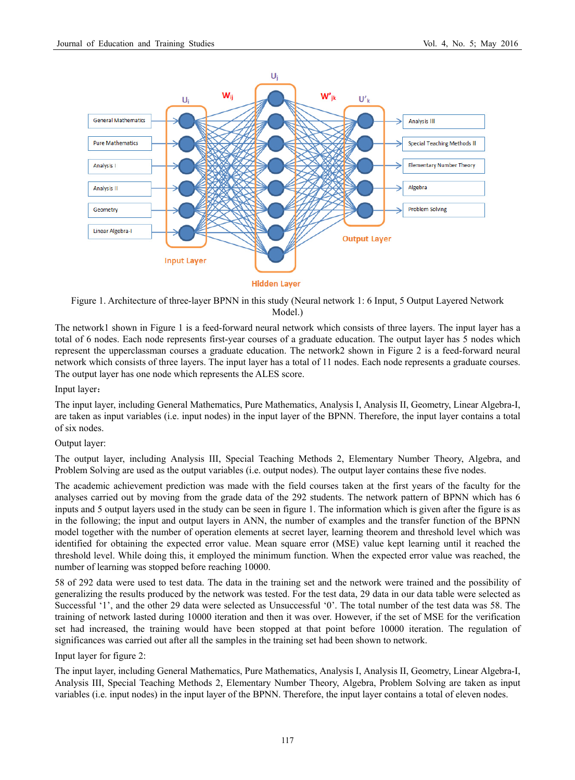

Figure 1. Architecture of three-layer BPNN in this study (Neural network 1: 6 Input, 5 Output Layered Network Model.)

The network1 shown in Figure 1 is a feed-forward neural network which consists of three layers. The input layer has a total of 6 nodes. Each node represents first-year courses of a graduate education. The output layer has 5 nodes which represent the upperclassman courses a graduate education. The network2 shown in Figure 2 is a feed-forward neural network which consists of three layers. The input layer has a total of 11 nodes. Each node represents a graduate courses. The output layer has one node which represents the ALES score.

Input layer:

The input layer, including General Mathematics, Pure Mathematics, Analysis I, Analysis II, Geometry, Linear Algebra-I, are taken as input variables (i.e. input nodes) in the input layer of the BPNN. Therefore, the input layer contains a total of six nodes.

Output layer:

The output layer, including Analysis III, Special Teaching Methods 2, Elementary Number Theory, Algebra, and Problem Solving are used as the output variables (i.e. output nodes). The output layer contains these five nodes.

The academic achievement prediction was made with the field courses taken at the first years of the faculty for the analyses carried out by moving from the grade data of the 292 students. The network pattern of BPNN which has 6 inputs and 5 output layers used in the study can be seen in figure 1. The information which is given after the figure is as in the following; the input and output layers in ANN, the number of examples and the transfer function of the BPNN model together with the number of operation elements at secret layer, learning theorem and threshold level which was identified for obtaining the expected error value. Mean square error (MSE) value kept learning until it reached the threshold level. While doing this, it employed the minimum function. When the expected error value was reached, the number of learning was stopped before reaching 10000.

58 of 292 data were used to test data. The data in the training set and the network were trained and the possibility of generalizing the results produced by the network was tested. For the test data, 29 data in our data table were selected as Successful '1', and the other 29 data were selected as Unsuccessful '0'. The total number of the test data was 58. The training of network lasted during 10000 iteration and then it was over. However, if the set of MSE for the verification set had increased, the training would have been stopped at that point before 10000 iteration. The regulation of significances was carried out after all the samples in the training set had been shown to network.

# Input layer for figure 2:

The input layer, including General Mathematics, Pure Mathematics, Analysis I, Analysis II, Geometry, Linear Algebra-I, Analysis III, Special Teaching Methods 2, Elementary Number Theory, Algebra, Problem Solving are taken as input variables (i.e. input nodes) in the input layer of the BPNN. Therefore, the input layer contains a total of eleven nodes.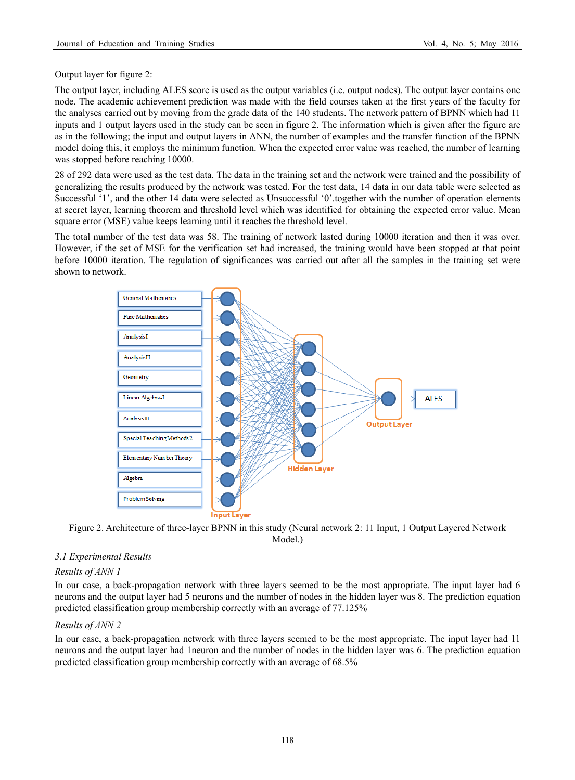Output layer for figure 2:

The output layer, including ALES score is used as the output variables (i.e. output nodes). The output layer contains one node. The academic achievement prediction was made with the field courses taken at the first years of the faculty for the analyses carried out by moving from the grade data of the 140 students. The network pattern of BPNN which had 11 inputs and 1 output layers used in the study can be seen in figure 2. The information which is given after the figure are as in the following; the input and output layers in ANN, the number of examples and the transfer function of the BPNN model doing this, it employs the minimum function. When the expected error value was reached, the number of learning was stopped before reaching 10000.

28 of 292 data were used as the test data. The data in the training set and the network were trained and the possibility of generalizing the results produced by the network was tested. For the test data, 14 data in our data table were selected as Successful '1', and the other 14 data were selected as Unsuccessful '0'.together with the number of operation elements at secret layer, learning theorem and threshold level which was identified for obtaining the expected error value. Mean square error (MSE) value keeps learning until it reaches the threshold level.

The total number of the test data was 58. The training of network lasted during 10000 iteration and then it was over. However, if the set of MSE for the verification set had increased, the training would have been stopped at that point before 10000 iteration. The regulation of significances was carried out after all the samples in the training set were shown to network.



Figure 2. Architecture of three-layer BPNN in this study (Neural network 2: 11 Input, 1 Output Layered Network Model.)

# *3.1 Experimental Results*

# *Results of ANN 1*

In our case, a back-propagation network with three layers seemed to be the most appropriate. The input layer had 6 neurons and the output layer had 5 neurons and the number of nodes in the hidden layer was 8. The prediction equation predicted classification group membership correctly with an average of 77.125%

# *Results of ANN 2*

In our case, a back-propagation network with three layers seemed to be the most appropriate. The input layer had 11 neurons and the output layer had 1neuron and the number of nodes in the hidden layer was 6. The prediction equation predicted classification group membership correctly with an average of 68.5%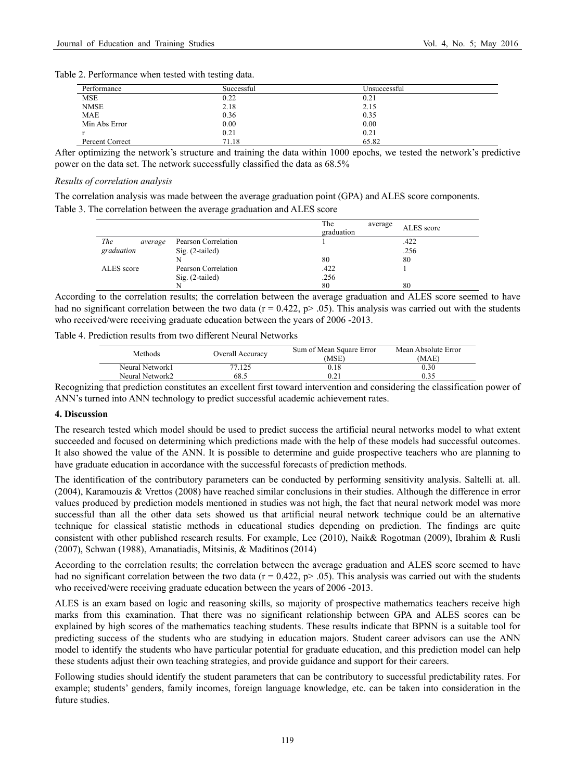| Performance     | Successful | Unsuccessful |  |
|-----------------|------------|--------------|--|
| <b>MSE</b>      | 0.22       | 0.21         |  |
| <b>NMSE</b>     | 2.18       | 2.15         |  |
| <b>MAE</b>      | 0.36       | 0.35         |  |
| Min Abs Error   | 0.00       | 0.00         |  |
|                 | 0.21       | 0.21         |  |
| Percent Correct | 71.18      | 65.82        |  |

Table 2. Performance when tested with testing data.

After optimizing the network's structure and training the data within 1000 epochs, we tested the network's predictive power on the data set. The network successfully classified the data as 68.5%

### *Results of correlation analysis*

The correlation analysis was made between the average graduation point (GPA) and ALES score components. Table 3. The correlation between the average graduation and ALES score

|                       |                     | The<br>average<br>graduation | ALES score |
|-----------------------|---------------------|------------------------------|------------|
| <i>The</i><br>average | Pearson Correlation |                              | .422       |
| graduation            | $Sig. (2-tailed)$   |                              | .256       |
|                       |                     | 80                           | 80         |
| ALES score            | Pearson Correlation | .422                         |            |
|                       | $Sig. (2-tailed)$   | .256                         |            |
|                       |                     | 80                           | 80         |

According to the correlation results; the correlation between the average graduation and ALES score seemed to have had no significant correlation between the two data  $(r = 0.422, p > .05)$ . This analysis was carried out with the students who received/were receiving graduate education between the years of 2006 -2013.

#### Table 4. Prediction results from two different Neural Networks

| <b>Methods</b>  | Overall Accuracy | Sum of Mean Square Error<br>(MSE) | Mean Absolute Error<br>(MAE) |
|-----------------|------------------|-----------------------------------|------------------------------|
| Neural Network1 | 77.125           | 0.18                              | 0.30                         |
| Neural Network2 | 68.5             | 0.21                              |                              |

Recognizing that prediction constitutes an excellent first toward intervention and considering the classification power of ANN's turned into ANN technology to predict successful academic achievement rates.

### **4. Discussion**

The research tested which model should be used to predict success the artificial neural networks model to what extent succeeded and focused on determining which predictions made with the help of these models had successful outcomes. It also showed the value of the ANN. It is possible to determine and guide prospective teachers who are planning to have graduate education in accordance with the successful forecasts of prediction methods.

The identification of the contributory parameters can be conducted by performing sensitivity analysis. Saltelli at. all. (2004), Karamouzis & Vrettos (2008) have reached similar conclusions in their studies. Although the difference in error values produced by prediction models mentioned in studies was not high, the fact that neural network model was more successful than all the other data sets showed us that artificial neural network technique could be an alternative technique for classical statistic methods in educational studies depending on prediction. The findings are quite consistent with other published research results. For example, Lee (2010), Naik& Rogotman (2009), Ibrahim & Rusli (2007), Schwan (1988), Amanatiadis, Mitsinis, & Maditinos (2014)

According to the correlation results; the correlation between the average graduation and ALES score seemed to have had no significant correlation between the two data ( $r = 0.422$ ,  $p > .05$ ). This analysis was carried out with the students who received/were receiving graduate education between the years of 2006 -2013.

ALES is an exam based on logic and reasoning skills, so majority of prospective mathematics teachers receive high marks from this examination. That there was no significant relationship between GPA and ALES scores can be explained by high scores of the mathematics teaching students. These results indicate that BPNN is a suitable tool for predicting success of the students who are studying in education majors. Student career advisors can use the ANN model to identify the students who have particular potential for graduate education, and this prediction model can help these students adjust their own teaching strategies, and provide guidance and support for their careers.

Following studies should identify the student parameters that can be contributory to successful predictability rates. For example; students' genders, family incomes, foreign language knowledge, etc. can be taken into consideration in the future studies.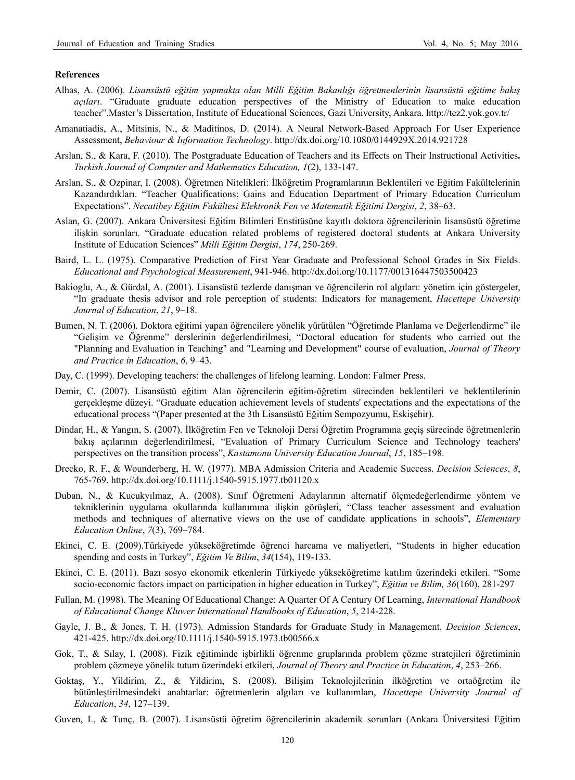#### **References**

- Alhas, A. (2006). *Lisansüstü eğitim yapmakta olan Milli Eğitim Bakanlığı öğretmenlerinin lisansüstü eğitime bakış açıları*. "Graduate graduate education perspectives of the Ministry of Education to make education teacher".Master's Dissertation, Institute of Educational Sciences, Gazi University, Ankara. http://tez2.yok.gov.tr/
- Amanatiadis, A., Mitsinis, N., & Maditinos, D. (2014). A Neural Network-Based Approach For User Experience Assessment, *Behaviour & Information Technology*. http://dx.doi.org/10.1080/0144929X.2014.921728
- Arslan, S., & Kara, F. (2010). The Postgraduate Education of Teachers and its Effects on Their Instructional Activities**.**  *Turkish Journal of Computer and Mathematics Education, 1*(2), 133-147.
- Arslan, S., & Ozpinar, I. (2008). Öğretmen Nitelikleri: İlköğretim Programlarının Beklentileri ve Eğitim Fakültelerinin Kazandırdıkları. "Teacher Qualifications: Gains and Education Department of Primary Education Curriculum Expectations". *Necatibey Eğitim Fakültesi Elektronik Fen ve Matematik Eğitimi Dergisi*, *2*, 38–63.
- Aslan, G. (2007). Ankara Üniversitesi Eğitim Bilimleri Enstitüsüne kayıtlı doktora öğrencilerinin lisansüstü öğretime ilişkin sorunları. "Graduate education related problems of registered doctoral students at Ankara University Institute of Education Sciences" *Milli Eğitim Dergisi*, *174*, 250-269.
- Baird, L. L. (1975). Comparative Prediction of First Year Graduate and Professional School Grades in Six Fields. *Educational and Psychological Measurement*, 941-946. http://dx.doi.org/10.1177/001316447503500423
- Bakioglu, A., & Gürdal, A. (2001). Lisansüstü tezlerde danışman ve öğrencilerin rol algıları: yönetim için göstergeler, "In graduate thesis advisor and role perception of students: Indicators for management, *Hacettepe University Journal of Education*, *21*, 9–18.
- Bumen, N. T. (2006). Doktora eğitimi yapan öğrencilere yönelik yürütülen "Öğretimde Planlama ve Değerlendirme" ile "Gelişim ve Öğrenme" derslerinin değerlendirilmesi, "Doctoral education for students who carried out the "Planning and Evaluation in Teaching" and "Learning and Development" course of evaluation, *Journal of Theory and Practice in Education*, *6*, 9–43.
- Day, C. (1999). Developing teachers: the challenges of lifelong learning. London: Falmer Press.
- Demir, C. (2007). Lisansüstü eğitim Alan öğrencilerin eğitim-öğretim sürecinden beklentileri ve beklentilerinin gerçekleşme düzeyi. "Graduate education achievement levels of students' expectations and the expectations of the educational process "(Paper presented at the 3th Lisansüstü Eğitim Sempozyumu, Eskişehir).
- Dindar, H., & Yangın, S. (2007). İlköğretim Fen ve Teknoloji Dersi Öğretim Programına geçiş sürecinde öğretmenlerin bakış açılarının değerlendirilmesi, "Evaluation of Primary Curriculum Science and Technology teachers' perspectives on the transition process", *Kastamonu University Education Journal*, *15*, 185–198.
- Drecko, R. F., & Wounderberg, H. W. (1977). MBA Admission Criteria and Academic Success. *Decision Sciences*, *8*, 765-769. http://dx.doi.org/10.1111/j.1540-5915.1977.tb01120.x
- Duban, N., & Kucukyılmaz, A. (2008). Sınıf Öğretmeni Adaylarının alternatif ölçmedeğerlendirme yöntem ve tekniklerinin uygulama okullarında kullanımına ilişkin görüşleri, "Class teacher assessment and evaluation methods and techniques of alternative views on the use of candidate applications in schools", *Elementary Education Online*, *7*(3), 769–784.
- Ekinci, C. E. (2009).Türkiyede yükseköğretimde öğrenci harcama ve maliyetleri, "Students in higher education spending and costs in Turkey", *Eğitim Ve Bilim*, *34*(154), 119-133.
- Ekinci, C. E. (2011). Bazı sosyo ekonomik etkenlerin Türkiyede yükseköğretime katılım üzerindeki etkileri. "Some socio-economic factors impact on participation in higher education in Turkey", *Eğitim ve Bilim, 36*(160), 281-297
- Fullan, M. (1998). The Meaning Of Educational Change: A Quarter Of A Century Of Learning, *International Handbook of Educational Change Kluwer International Handbooks of Education*, *5*, 214-228.
- Gayle, J. B., & Jones, T. H. (1973). Admission Standards for Graduate Study in Management. *Decision Sciences*, 421-425. http://dx.doi.org/10.1111/j.1540-5915.1973.tb00566.x
- Gok, T., & Sılay, I. (2008). Fizik eğitiminde işbirlikli öğrenme gruplarında problem çözme stratejileri öğretiminin problem çözmeye yönelik tutum üzerindeki etkileri, *Journal of Theory and Practice in Education*, *4*, 253–266.
- Goktaş, Y., Yildirim, Z., & Yildirim, S. (2008). Bilişim Teknolojilerinin ilköğretim ve ortaöğretim ile bütünleştirilmesindeki anahtarlar: öğretmenlerin algıları ve kullanımları, *Hacettepe University Journal of Education*, *34*, 127–139.
- Guven, I., & Tunç, B. (2007). Lisansüstü öğretim öğrencilerinin akademik sorunları (Ankara Üniversitesi Eğitim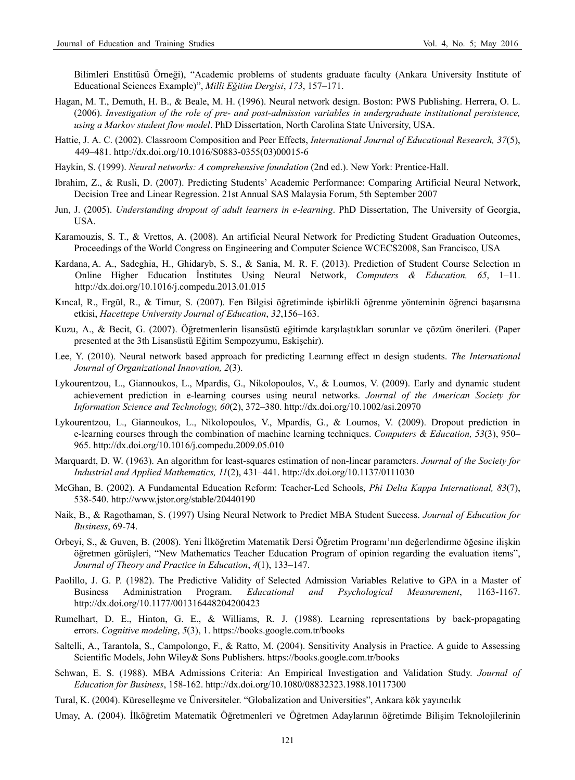Bilimleri Enstitüsü Örneği), "Academic problems of students graduate faculty (Ankara University Institute of Educational Sciences Example)", *Milli Eğitim Dergisi*, *173*, 157–171.

- Hagan, M. T., Demuth, H. B., & Beale, M. H. (1996). Neural network design. Boston: PWS Publishing. Herrera, O. L. (2006). *Investigation of the role of pre- and post-admission variables in undergraduate institutional persistence, using a Markov student flow model*. PhD Dissertation, North Carolina State University, USA.
- Hattie, J. A. C. (2002). Classroom Composition and Peer Effects, *International Journal of Educational Research, 37*(5), 449–481. http://dx.doi.org/10.1016/S0883-0355(03)00015-6
- Haykin, S. (1999). *Neural networks: A comprehensive foundation* (2nd ed.). New York: Prentice-Hall.
- Ibrahim, Z., & Rusli, D. (2007). Predicting Students' Academic Performance: Comparing Artificial Neural Network, Decision Tree and Linear Regression. 21st Annual SAS Malaysia Forum, 5th September 2007
- Jun, J. (2005). *Understanding dropout of adult learners in e-learning*. PhD Dissertation, The University of Georgia, USA.
- Karamouzis, S. T., & Vrettos, A. (2008). An artificial Neural Network for Predicting Student Graduation Outcomes, Proceedings of the World Congress on Engineering and Computer Science WCECS2008, San Francisco, USA
- Kardana, A. A., Sadeghia, H., Ghidaryb, S. S., & Sania, M. R. F. (2013). Prediction of Student Course Selection ın Online Higher Education İnstitutes Using Neural Network, *Computers & Education, 65*, 1–11. http://dx.doi.org/10.1016/j.compedu.2013.01.015
- Kıncal, R., Ergül, R., & Timur, S. (2007). Fen Bilgisi öğretiminde işbirlikli öğrenme yönteminin öğrenci başarısına etkisi, *Hacettepe University Journal of Education*, *32*,156–163.
- Kuzu, A., & Becit, G. (2007). Öğretmenlerin lisansüstü eğitimde karşılaştıkları sorunlar ve çözüm önerileri. (Paper presented at the 3th Lisansüstü Eğitim Sempozyumu, Eskişehir).
- Lee, Y. (2010). Neural network based approach for predicting Learnıng effect ın design students. *The International Journal of Organizational Innovation, 2*(3).
- Lykourentzou, L., Giannoukos, L., Mpardis, G., Nikolopoulos, V., & Loumos, V. (2009). Early and dynamic student achievement prediction in e-learning courses using neural networks. *Journal of the American Society for Information Science and Technology, 60*(2), 372–380. http://dx.doi.org/10.1002/asi.20970
- Lykourentzou, L., Giannoukos, L., Nikolopoulos, V., Mpardis, G., & Loumos, V. (2009). Dropout prediction in e-learning courses through the combination of machine learning techniques. *Computers & Education, 53*(3), 950– 965. http://dx.doi.org/10.1016/j.compedu.2009.05.010
- Marquardt, D. W. (1963). An algorithm for least-squares estimation of non-linear parameters. *Journal of the Society for Industrial and Applied Mathematics, 11*(2), 431–441. http://dx.doi.org/10.1137/0111030
- McGhan, B. (2002). A Fundamental Education Reform: Teacher-Led Schools, *Phi Delta Kappa International, 83*(7), 538-540. http://www.jstor.org/stable/20440190
- Naik, B., & Ragothaman, S. (1997) Using Neural Network to Predict MBA Student Success. *Journal of Education for Business*, 69-74.
- Orbeyi, S., & Guven, B. (2008). Yeni İlköğretim Matematik Dersi Öğretim Programı'nın değerlendirme öğesine ilişkin öğretmen görüşleri, "New Mathematics Teacher Education Program of opinion regarding the evaluation items", *Journal of Theory and Practice in Education*, *4*(1), 133–147.
- Paolillo, J. G. P. (1982). The Predictive Validity of Selected Admission Variables Relative to GPA in a Master of Business Administration Program. *Educational and Psychological Measurement*, 1163-1167. http://dx.doi.org/10.1177/001316448204200423
- Rumelhart, D. E., Hinton, G. E., & Williams, R. J. (1988). Learning representations by back-propagating errors. *Cognitive modeling*, *5*(3), 1. https://books.google.com.tr/books
- Saltelli, A., Tarantola, S., Campolongo, F., & Ratto, M. (2004). Sensitivity Analysis in Practice. A guide to Assessing Scientific Models, John Wiley& Sons Publishers. https://books.google.com.tr/books
- Schwan, E. S. (1988). MBA Admissions Criteria: An Empirical Investigation and Validation Study. *Journal of Education for Business*, 158-162. http://dx.doi.org/10.1080/08832323.1988.10117300
- Tural, K. (2004). Küreselleşme ve Üniversiteler. "Globalization and Universities", Ankara kök yayıncılık
- Umay, A. (2004). İlköğretim Matematik Öğretmenleri ve Öğretmen Adaylarının öğretimde Bilişim Teknolojilerinin